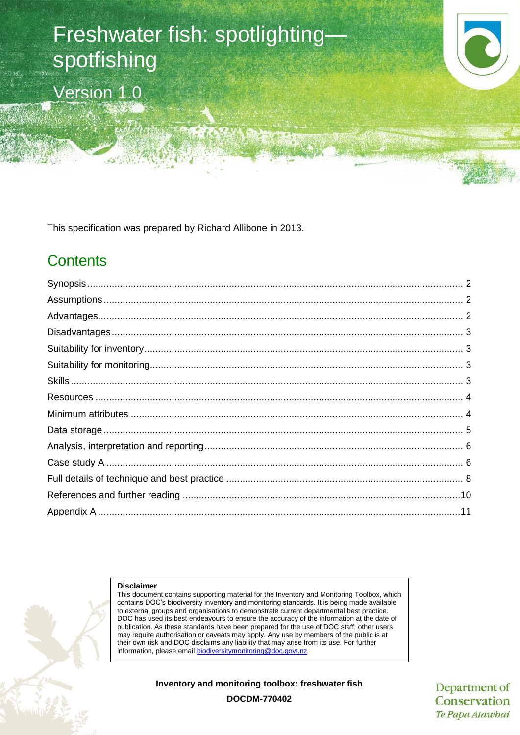# Freshwater fish: spotlighting spotfishing Version 1.0

This specification was prepared by Richard Allibone in 2013.

## **Contents**

#### **Disclaimer**

This document contains supporting material for the Inventory and Monitoring Toolbox, which contains DOC's biodiversity inventory and monitoring standards. It is being made available to external groups and organisations to demonstrate current departmental best practice. DOC has used its best endeavours to ensure the accuracy of the information at the date of publication. As these standards have been prepared for the use of DOC staff, other users may require authorisation or caveats may apply. Any use by members of the public is at their own risk and DOC disclaims any liability that may arise from its use. For further information, please email biodiversitymonitoring@doc

**Inventory and monitoring toolbox: freshwater fish**

Department of Conservation Te Papa Atawbai

**DOCDM-770402**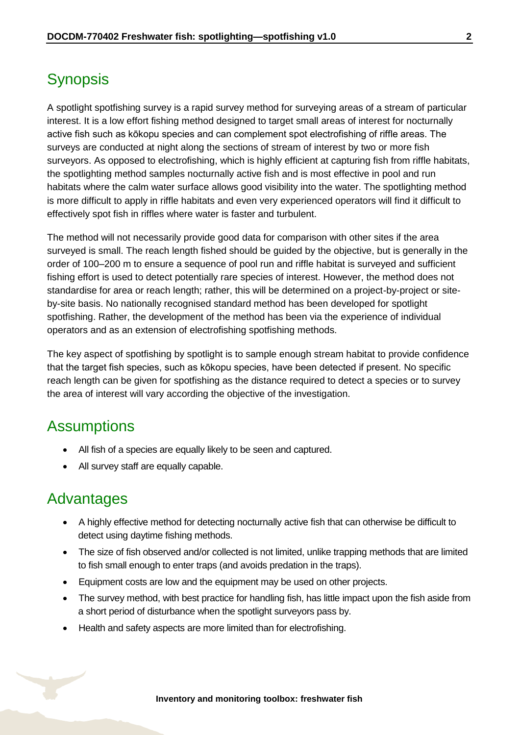### <span id="page-1-0"></span>**Synopsis**

A spotlight spotfishing survey is a rapid survey method for surveying areas of a stream of particular interest. It is a low effort fishing method designed to target small areas of interest for nocturnally active fish such as kōkopu species and can complement spot electrofishing of riffle areas. The surveys are conducted at night along the sections of stream of interest by two or more fish surveyors. As opposed to electrofishing, which is highly efficient at capturing fish from riffle habitats, the spotlighting method samples nocturnally active fish and is most effective in pool and run habitats where the calm water surface allows good visibility into the water. The spotlighting method is more difficult to apply in riffle habitats and even very experienced operators will find it difficult to effectively spot fish in riffles where water is faster and turbulent.

The method will not necessarily provide good data for comparison with other sites if the area surveyed is small. The reach length fished should be guided by the objective, but is generally in the order of 100–200 m to ensure a sequence of pool run and riffle habitat is surveyed and sufficient fishing effort is used to detect potentially rare species of interest. However, the method does not standardise for area or reach length; rather, this will be determined on a project-by-project or siteby-site basis. No nationally recognised standard method has been developed for spotlight spotfishing. Rather, the development of the method has been via the experience of individual operators and as an extension of electrofishing spotfishing methods.

The key aspect of spotfishing by spotlight is to sample enough stream habitat to provide confidence that the target fish species, such as kōkopu species, have been detected if present. No specific reach length can be given for spotfishing as the distance required to detect a species or to survey the area of interest will vary according the objective of the investigation.

### <span id="page-1-1"></span>**Assumptions**

- All fish of a species are equally likely to be seen and captured.
- All survey staff are equally capable.

#### <span id="page-1-2"></span>Advantages

- A highly effective method for detecting nocturnally active fish that can otherwise be difficult to detect using daytime fishing methods.
- The size of fish observed and/or collected is not limited, unlike trapping methods that are limited to fish small enough to enter traps (and avoids predation in the traps).
- Equipment costs are low and the equipment may be used on other projects.
- The survey method, with best practice for handling fish, has little impact upon the fish aside from a short period of disturbance when the spotlight surveyors pass by.
- Health and safety aspects are more limited than for electrofishing.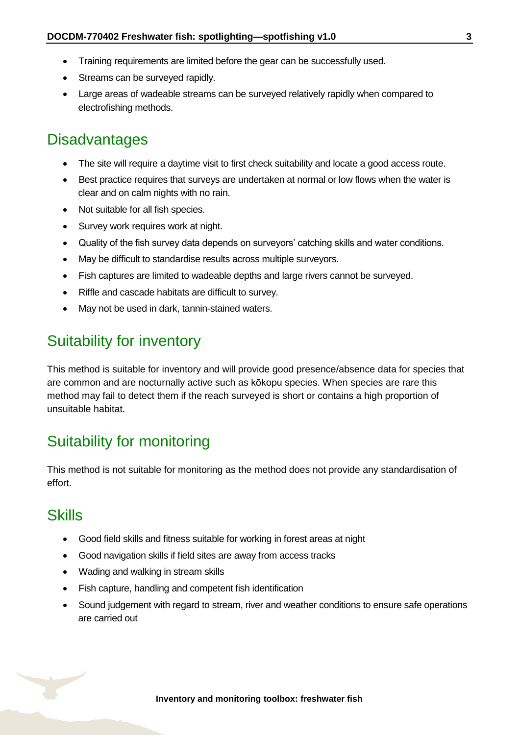- Training requirements are limited before the gear can be successfully used.
- Streams can be surveyed rapidly.
- Large areas of wadeable streams can be surveyed relatively rapidly when compared to electrofishing methods.

#### <span id="page-2-0"></span>**Disadvantages**

- The site will require a daytime visit to first check suitability and locate a good access route.
- Best practice requires that surveys are undertaken at normal or low flows when the water is clear and on calm nights with no rain.
- Not suitable for all fish species.
- Survey work requires work at night.
- Quality of the fish survey data depends on surveyors' catching skills and water conditions.
- May be difficult to standardise results across multiple surveyors.
- Fish captures are limited to wadeable depths and large rivers cannot be surveyed.
- Riffle and cascade habitats are difficult to survey.
- May not be used in dark, tannin-stained waters.

### <span id="page-2-1"></span>Suitability for inventory

This method is suitable for inventory and will provide good presence/absence data for species that are common and are nocturnally active such as kōkopu species. When species are rare this method may fail to detect them if the reach surveyed is short or contains a high proportion of unsuitable habitat.

### <span id="page-2-2"></span>Suitability for monitoring

This method is not suitable for monitoring as the method does not provide any standardisation of effort.

#### <span id="page-2-3"></span>**Skills**

- Good field skills and fitness suitable for working in forest areas at night
- Good navigation skills if field sites are away from access tracks
- Wading and walking in stream skills
- Fish capture, handling and competent fish identification
- Sound judgement with regard to stream, river and weather conditions to ensure safe operations are carried out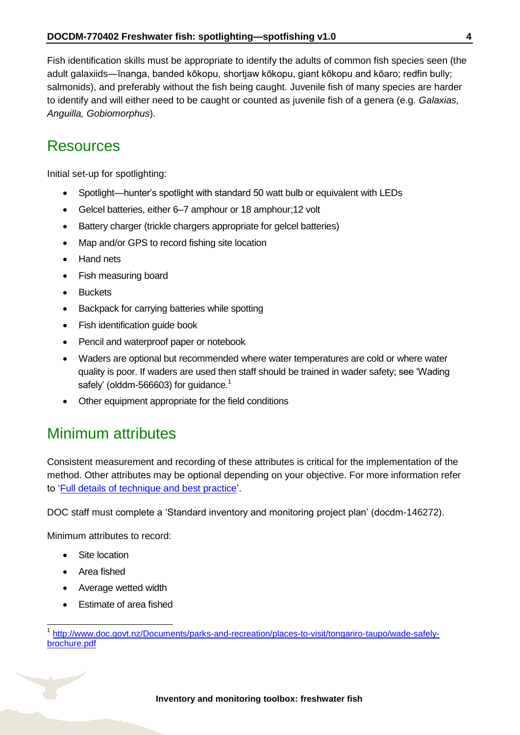Fish identification skills must be appropriate to identify the adults of common fish species seen (the adult galaxiids—īnanga, banded kōkopu, shortjaw kōkopu, giant kōkopu and kōaro; redfin bully; salmonids), and preferably without the fish being caught. Juvenile fish of many species are harder to identify and will either need to be caught or counted as juvenile fish of a genera (e.g. *Galaxias, Anguilla, Gobiomorphus*).

#### <span id="page-3-0"></span>Resources

Initial set-up for spotlighting:

- Spotlight—hunter's spotlight with standard 50 watt bulb or equivalent with LEDs
- Gelcel batteries, either 6–7 amphour or 18 amphour;12 volt
- Battery charger (trickle chargers appropriate for gelcel batteries)
- Map and/or GPS to record fishing site location
- Hand nets
- Fish measuring board
- Buckets
- Backpack for carrying batteries while spotting
- Fish identification quide book
- Pencil and waterproof paper or notebook
- Waders are optional but recommended where water temperatures are cold or where water quality is poor. If waders are used then staff should be trained in wader safety; see 'Wading safely' (olddm-566603) for guidance.<sup>1</sup>
- Other equipment appropriate for the field conditions

### <span id="page-3-1"></span>Minimum attributes

Consistent measurement and recording of these attributes is critical for the implementation of the method. Other attributes may be optional depending on your objective. For more information refer to ['Full details of technique and best practice'](#page-7-0).

DOC staff must complete a 'Standard inventory and monitoring project plan' (docdm-146272).

Minimum attributes to record:

- Site location
- Area fished

 $\overline{1}$ 

- Average wetted width
- Estimate of area fished

<sup>1</sup> [http://www.doc.govt.nz/Documents/parks-and-recreation/places-to-visit/tongariro-taupo/wade-safely](http://www.doc.govt.nz/Documents/parks-and-recreation/places-to-visit/tongariro-taupo/wade-safely-brochure.pdf)[brochure.pdf](http://www.doc.govt.nz/Documents/parks-and-recreation/places-to-visit/tongariro-taupo/wade-safely-brochure.pdf)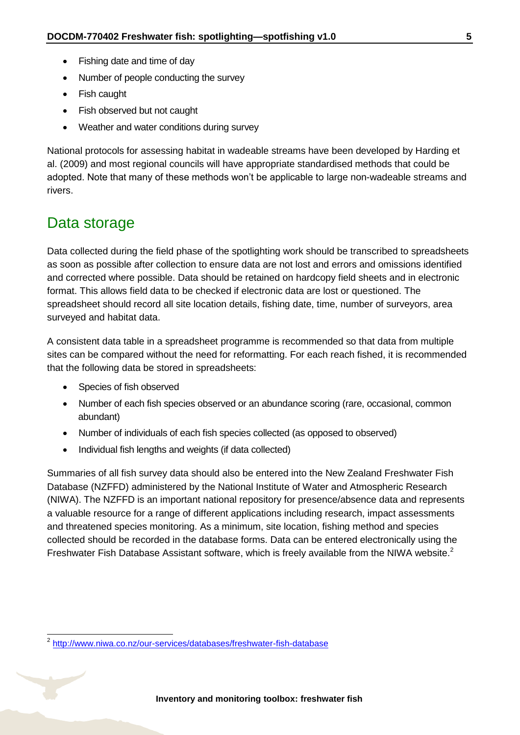- Fishing date and time of day
- Number of people conducting the survey
- Fish caught
- Fish observed but not caught
- Weather and water conditions during survey

National protocols for assessing habitat in wadeable streams have been developed by Harding et al. (2009) and most regional councils will have appropriate standardised methods that could be adopted. Note that many of these methods won't be applicable to large non-wadeable streams and rivers.

#### <span id="page-4-0"></span>Data storage

Data collected during the field phase of the spotlighting work should be transcribed to spreadsheets as soon as possible after collection to ensure data are not lost and errors and omissions identified and corrected where possible. Data should be retained on hardcopy field sheets and in electronic format. This allows field data to be checked if electronic data are lost or questioned. The spreadsheet should record all site location details, fishing date, time, number of surveyors, area surveyed and habitat data.

A consistent data table in a spreadsheet programme is recommended so that data from multiple sites can be compared without the need for reformatting. For each reach fished, it is recommended that the following data be stored in spreadsheets:

• Species of fish observed

-

- Number of each fish species observed or an abundance scoring (rare, occasional, common abundant)
- Number of individuals of each fish species collected (as opposed to observed)
- Individual fish lengths and weights (if data collected)

Summaries of all fish survey data should also be entered into the New Zealand Freshwater Fish Database (NZFFD) administered by the National Institute of Water and Atmospheric Research (NIWA). The NZFFD is an important national repository for presence/absence data and represents a valuable resource for a range of different applications including research, impact assessments and threatened species monitoring. As a minimum, site location, fishing method and species collected should be recorded in the database forms. Data can be entered electronically using the Freshwater Fish Database Assistant software, which is freely available from the NIWA website.<sup>2</sup>

<sup>&</sup>lt;sup>2</sup> <http://www.niwa.co.nz/our-services/databases/freshwater-fish-database>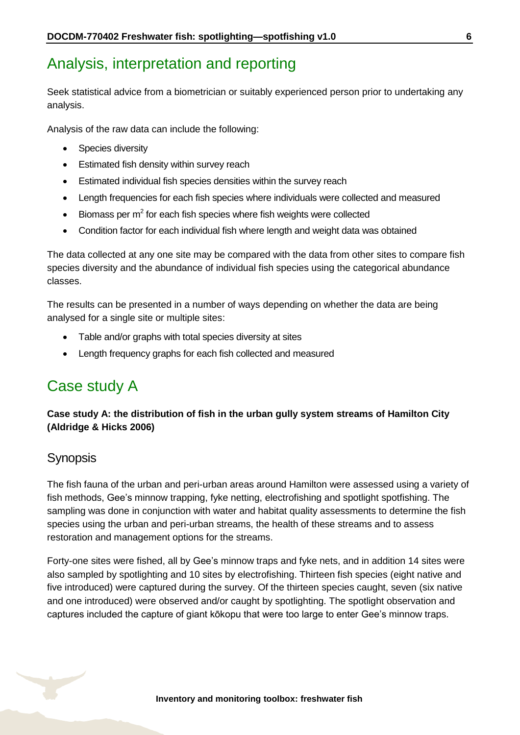### <span id="page-5-0"></span>Analysis, interpretation and reporting

Seek statistical advice from a biometrician or suitably experienced person prior to undertaking any analysis.

Analysis of the raw data can include the following:

- Species diversity
- Estimated fish density within survey reach
- Estimated individual fish species densities within the survey reach
- Length frequencies for each fish species where individuals were collected and measured
- $\bullet$  Biomass per m<sup>2</sup> for each fish species where fish weights were collected
- Condition factor for each individual fish where length and weight data was obtained

The data collected at any one site may be compared with the data from other sites to compare fish species diversity and the abundance of individual fish species using the categorical abundance classes.

The results can be presented in a number of ways depending on whether the data are being analysed for a single site or multiple sites:

- Table and/or graphs with total species diversity at sites
- Length frequency graphs for each fish collected and measured

### <span id="page-5-1"></span>Case study A

#### **Case study A: the distribution of fish in the urban gully system streams of Hamilton City (Aldridge & Hicks 2006)**

#### **Synopsis**

The fish fauna of the urban and peri-urban areas around Hamilton were assessed using a variety of fish methods, Gee's minnow trapping, fyke netting, electrofishing and spotlight spotfishing. The sampling was done in conjunction with water and habitat quality assessments to determine the fish species using the urban and peri-urban streams, the health of these streams and to assess restoration and management options for the streams.

Forty-one sites were fished, all by Gee's minnow traps and fyke nets, and in addition 14 sites were also sampled by spotlighting and 10 sites by electrofishing. Thirteen fish species (eight native and five introduced) were captured during the survey. Of the thirteen species caught, seven (six native and one introduced) were observed and/or caught by spotlighting. The spotlight observation and captures included the capture of giant kōkopu that were too large to enter Gee's minnow traps.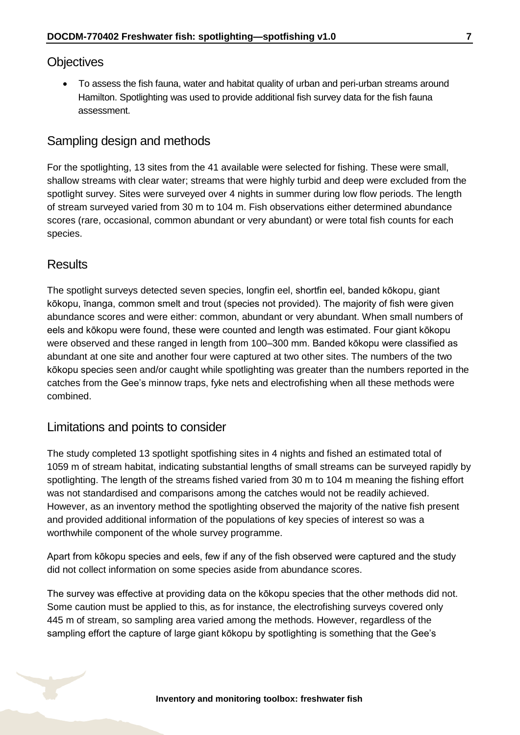#### **Objectives**

 To assess the fish fauna, water and habitat quality of urban and peri-urban streams around Hamilton. Spotlighting was used to provide additional fish survey data for the fish fauna assessment.

#### Sampling design and methods

For the spotlighting, 13 sites from the 41 available were selected for fishing. These were small, shallow streams with clear water; streams that were highly turbid and deep were excluded from the spotlight survey. Sites were surveyed over 4 nights in summer during low flow periods. The length of stream surveyed varied from 30 m to 104 m. Fish observations either determined abundance scores (rare, occasional, common abundant or very abundant) or were total fish counts for each species.

#### **Results**

The spotlight surveys detected seven species, longfin eel, shortfin eel, banded kōkopu, giant kōkopu, īnanga, common smelt and trout (species not provided). The majority of fish were given abundance scores and were either: common, abundant or very abundant. When small numbers of eels and kōkopu were found, these were counted and length was estimated. Four giant kōkopu were observed and these ranged in length from 100–300 mm. Banded kōkopu were classified as abundant at one site and another four were captured at two other sites. The numbers of the two kōkopu species seen and/or caught while spotlighting was greater than the numbers reported in the catches from the Gee's minnow traps, fyke nets and electrofishing when all these methods were combined.

#### Limitations and points to consider

The study completed 13 spotlight spotfishing sites in 4 nights and fished an estimated total of 1059 m of stream habitat, indicating substantial lengths of small streams can be surveyed rapidly by spotlighting. The length of the streams fished varied from 30 m to 104 m meaning the fishing effort was not standardised and comparisons among the catches would not be readily achieved. However, as an inventory method the spotlighting observed the majority of the native fish present and provided additional information of the populations of key species of interest so was a worthwhile component of the whole survey programme.

Apart from kōkopu species and eels, few if any of the fish observed were captured and the study did not collect information on some species aside from abundance scores.

The survey was effective at providing data on the kōkopu species that the other methods did not. Some caution must be applied to this, as for instance, the electrofishing surveys covered only 445 m of stream, so sampling area varied among the methods. However, regardless of the sampling effort the capture of large giant kōkopu by spotlighting is something that the Gee's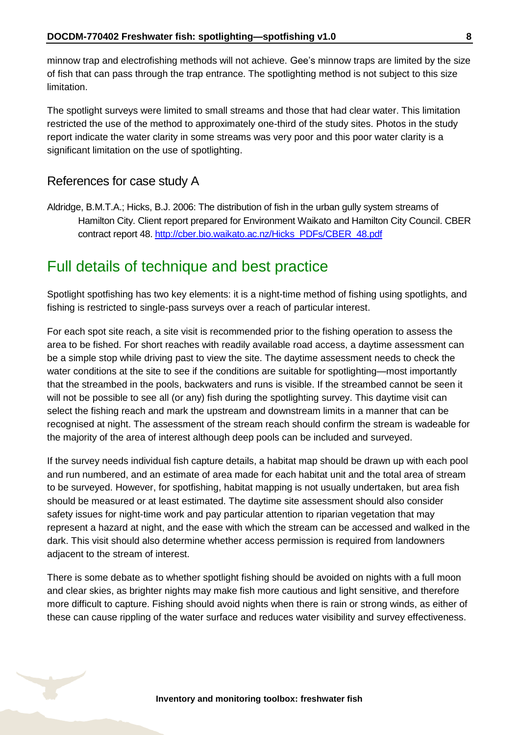minnow trap and electrofishing methods will not achieve. Gee's minnow traps are limited by the size of fish that can pass through the trap entrance. The spotlighting method is not subject to this size limitation.

The spotlight surveys were limited to small streams and those that had clear water. This limitation restricted the use of the method to approximately one-third of the study sites. Photos in the study report indicate the water clarity in some streams was very poor and this poor water clarity is a significant limitation on the use of spotlighting.

#### References for case study A

Aldridge, B.M.T.A.; Hicks, B.J. 2006: The distribution of fish in the urban gully system streams of Hamilton City. Client report prepared for Environment Waikato and Hamilton City Council. CBER contract report 48. [http://cber.bio.waikato.ac.nz/Hicks\\_PDFs/CBER\\_48.pdf](http://cber.bio.waikato.ac.nz/Hicks_PDFs/CBER_48.pdf)

#### <span id="page-7-0"></span>Full details of technique and best practice

Spotlight spotfishing has two key elements: it is a night-time method of fishing using spotlights, and fishing is restricted to single-pass surveys over a reach of particular interest.

For each spot site reach, a site visit is recommended prior to the fishing operation to assess the area to be fished. For short reaches with readily available road access, a daytime assessment can be a simple stop while driving past to view the site. The daytime assessment needs to check the water conditions at the site to see if the conditions are suitable for spotlighting—most importantly that the streambed in the pools, backwaters and runs is visible. If the streambed cannot be seen it will not be possible to see all (or any) fish during the spotlighting survey. This daytime visit can select the fishing reach and mark the upstream and downstream limits in a manner that can be recognised at night. The assessment of the stream reach should confirm the stream is wadeable for the majority of the area of interest although deep pools can be included and surveyed.

If the survey needs individual fish capture details, a habitat map should be drawn up with each pool and run numbered, and an estimate of area made for each habitat unit and the total area of stream to be surveyed. However, for spotfishing, habitat mapping is not usually undertaken, but area fish should be measured or at least estimated. The daytime site assessment should also consider safety issues for night-time work and pay particular attention to riparian vegetation that may represent a hazard at night, and the ease with which the stream can be accessed and walked in the dark. This visit should also determine whether access permission is required from landowners adjacent to the stream of interest.

There is some debate as to whether spotlight fishing should be avoided on nights with a full moon and clear skies, as brighter nights may make fish more cautious and light sensitive, and therefore more difficult to capture. Fishing should avoid nights when there is rain or strong winds, as either of these can cause rippling of the water surface and reduces water visibility and survey effectiveness.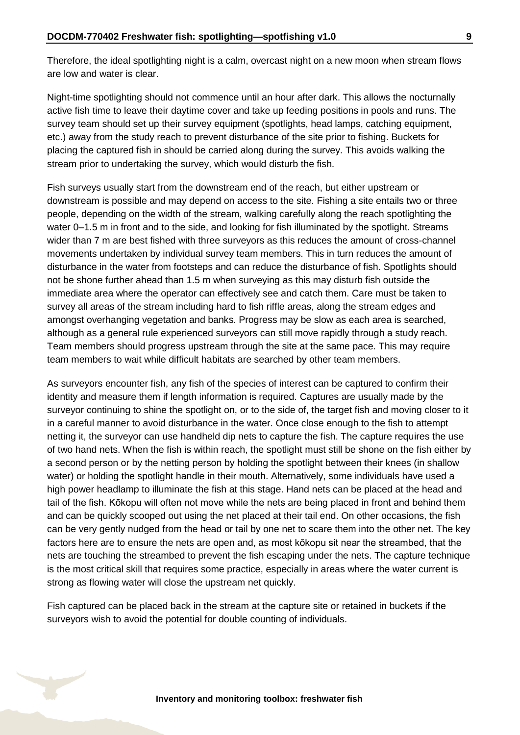Therefore, the ideal spotlighting night is a calm, overcast night on a new moon when stream flows are low and water is clear.

Night-time spotlighting should not commence until an hour after dark. This allows the nocturnally active fish time to leave their daytime cover and take up feeding positions in pools and runs. The survey team should set up their survey equipment (spotlights, head lamps, catching equipment, etc.) away from the study reach to prevent disturbance of the site prior to fishing. Buckets for placing the captured fish in should be carried along during the survey. This avoids walking the stream prior to undertaking the survey, which would disturb the fish.

Fish surveys usually start from the downstream end of the reach, but either upstream or downstream is possible and may depend on access to the site. Fishing a site entails two or three people, depending on the width of the stream, walking carefully along the reach spotlighting the water 0–1.5 m in front and to the side, and looking for fish illuminated by the spotlight. Streams wider than 7 m are best fished with three surveyors as this reduces the amount of cross-channel movements undertaken by individual survey team members. This in turn reduces the amount of disturbance in the water from footsteps and can reduce the disturbance of fish. Spotlights should not be shone further ahead than 1.5 m when surveying as this may disturb fish outside the immediate area where the operator can effectively see and catch them. Care must be taken to survey all areas of the stream including hard to fish riffle areas, along the stream edges and amongst overhanging vegetation and banks. Progress may be slow as each area is searched, although as a general rule experienced surveyors can still move rapidly through a study reach. Team members should progress upstream through the site at the same pace. This may require team members to wait while difficult habitats are searched by other team members.

As surveyors encounter fish, any fish of the species of interest can be captured to confirm their identity and measure them if length information is required. Captures are usually made by the surveyor continuing to shine the spotlight on, or to the side of, the target fish and moving closer to it in a careful manner to avoid disturbance in the water. Once close enough to the fish to attempt netting it, the surveyor can use handheld dip nets to capture the fish. The capture requires the use of two hand nets. When the fish is within reach, the spotlight must still be shone on the fish either by a second person or by the netting person by holding the spotlight between their knees (in shallow water) or holding the spotlight handle in their mouth. Alternatively, some individuals have used a high power headlamp to illuminate the fish at this stage. Hand nets can be placed at the head and tail of the fish. Kōkopu will often not move while the nets are being placed in front and behind them and can be quickly scooped out using the net placed at their tail end. On other occasions, the fish can be very gently nudged from the head or tail by one net to scare them into the other net. The key factors here are to ensure the nets are open and, as most kōkopu sit near the streambed, that the nets are touching the streambed to prevent the fish escaping under the nets. The capture technique is the most critical skill that requires some practice, especially in areas where the water current is strong as flowing water will close the upstream net quickly.

Fish captured can be placed back in the stream at the capture site or retained in buckets if the surveyors wish to avoid the potential for double counting of individuals.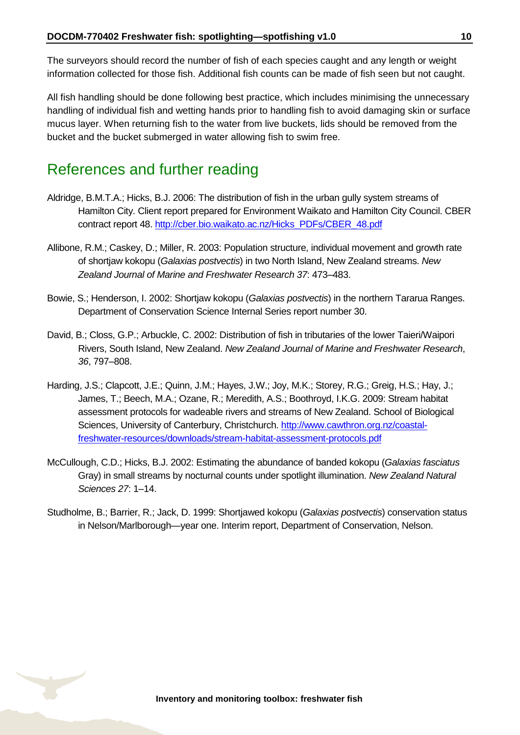The surveyors should record the number of fish of each species caught and any length or weight information collected for those fish. Additional fish counts can be made of fish seen but not caught.

All fish handling should be done following best practice, which includes minimising the unnecessary handling of individual fish and wetting hands prior to handling fish to avoid damaging skin or surface mucus layer. When returning fish to the water from live buckets, lids should be removed from the bucket and the bucket submerged in water allowing fish to swim free.

### <span id="page-9-0"></span>References and further reading

- Aldridge, B.M.T.A.; Hicks, B.J. 2006: The distribution of fish in the urban gully system streams of Hamilton City. Client report prepared for Environment Waikato and Hamilton City Council. CBER contract report 48. [http://cber.bio.waikato.ac.nz/Hicks\\_PDFs/CBER\\_48.pdf](http://cber.bio.waikato.ac.nz/Hicks_PDFs/CBER_48.pdf)
- Allibone, R.M.; Caskey, D.; Miller, R. 2003: Population structure, individual movement and growth rate of shortjaw kokopu (*Galaxias postvectis*) in two North Island, New Zealand streams. *New Zealand Journal of Marine and Freshwater Research 37*: 473–483.
- Bowie, S.; Henderson, I. 2002: Shortjaw kokopu (*Galaxias postvectis*) in the northern Tararua Ranges. Department of Conservation Science Internal Series report number 30.
- David, B.; Closs, G.P.; Arbuckle, C. 2002: Distribution of fish in tributaries of the lower Taieri/Waipori Rivers, South Island, New Zealand. *New Zealand Journal of Marine and Freshwater Research*, *36*, 797–808.
- Harding, J.S.; Clapcott, J.E.; Quinn, J.M.; Hayes, J.W.; Joy, M.K.; Storey, R.G.; Greig, H.S*.*; Hay, J.; James, T.; Beech, M.A.; Ozane, R.; Meredith, A.S.; Boothroyd, I.K.G. 2009: Stream habitat assessment protocols for wadeable rivers and streams of New Zealand. School of Biological Sciences, University of Canterbury, Christchurch. [http://www.cawthron.org.nz/coastal](http://www.cawthron.org.nz/coastal-freshwater-resources/downloads/stream-habitat-assessment-protocols.pdf)[freshwater-resources/downloads/stream-habitat-assessment-protocols.pdf](http://www.cawthron.org.nz/coastal-freshwater-resources/downloads/stream-habitat-assessment-protocols.pdf)
- McCullough, C.D.; Hicks, B.J. 2002: Estimating the abundance of banded kokopu (*Galaxias fasciatus* Gray) in small streams by nocturnal counts under spotlight illumination. *New Zealand Natural Sciences 27*: 1–14.
- Studholme, B.; Barrier, R.; Jack, D. 1999: Shortjawed kokopu (*Galaxias postvectis*) conservation status in Nelson/Marlborough—year one. Interim report, Department of Conservation, Nelson.